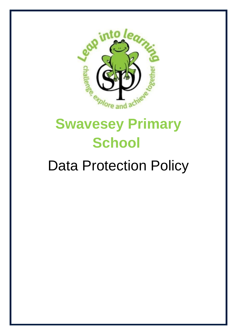

# **Swavesey Primary School**

## Data Protection Policy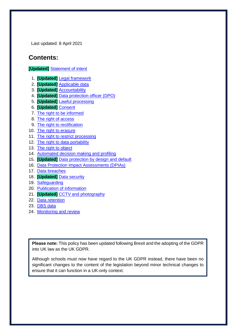Last updated: 8 April 2021

## **Contents:**

#### **[Updated]** [Statement of intent](#page-2-0)

- 1. **[Updated]** [Legal framework](#page-3-0)
- 2. **[Updated]** [Applicable data](#page-3-1)
- 3. **[Updated]** [Accountability](#page-4-0)
- 4. **[Updated]** [Data protection officer \(DPO\)](#page-5-0)
- 5. **[Updated]** [Lawful processing](#page-6-0)
- 6. **[Updated]** [Consent](#page-8-0)
- 7. [The right to be informed](#page-8-1)
- 8. [The right of access](#page-9-0)
- 9. [The right to rectification](#page-10-0)
- 10. [The right to erasure](#page-11-0)
- 11. [The right to restrict processing](#page-12-0)
- 12. [The right to data portability](#page-13-0)
- 13. [The right to object](#page-13-1)
- 14. [Automated decision making and profiling](#page-14-0)
- 15. **[Updated]** [Data protection by design and default](#page-15-0)
- 16. [Data Protection Impact Assessments \(DPIAs\)](#page-16-0)
- 17. [Data breaches](#page-16-1)
- 18. **[Updated]** [Data security](#page-17-0)
- 19. [Safeguarding](#page-18-0)
- 20. [Publication of information](#page-19-0)
- 21. **[Updated]** [CCTV and photography](#page-19-1)
- 22. [Data retention](#page-20-0)
- 23. [DBS data](#page-20-1)
- 24. [Monitoring and review](#page-20-2)

**Please note:** This policy has been updated following Brexit and the adopting of the GDPR into UK law as the UK GDPR.

Although schools must now have regard to the UK GDPR instead, there have been no significant changes to the content of the legislation beyond minor technical changes to ensure that it can function in a UK-only context.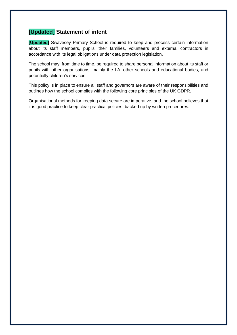### <span id="page-2-0"></span>**[Updated] Statement of intent**

**[Updated]** Swavesey Primary School is required to keep and process certain information about its staff members, pupils, their families, volunteers and external contractors in accordance with its legal obligations under data protection legislation.

The school may, from time to time, be required to share personal information about its staff or pupils with other organisations, mainly the LA, other schools and educational bodies, and potentially children's services.

This policy is in place to ensure all staff and governors are aware of their responsibilities and outlines how the school complies with the following core principles of the UK GDPR.

Organisational methods for keeping data secure are imperative, and the school believes that it is good practice to keep clear practical policies, backed up by written procedures.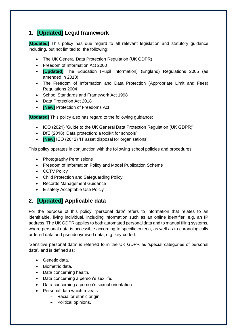## <span id="page-3-0"></span>**1. [Updated] Legal framework**

**[Updated]** This policy has due regard to all relevant legislation and statutory guidance including, but not limited to, the following:

- The UK General Data Protection Regulation (UK GDPR)
- Freedom of Information Act 2000
- **[Updated]** The Education (Pupil Information) (England) Regulations 2005 (as amended in 2018)
- The Freedom of Information and Data Protection (Appropriate Limit and Fees) Regulations 2004
- School Standards and Framework Act 1998
- Data Protection Act 2018
- **[New]** Protection of Freedoms Act

**[Updated]** This policy also has regard to the following guidance:

- ICO (2021) 'Guide to the UK General Data Protection Regulation (UK GDPR)'
- DfE (2018) 'Data protection: a toolkit for schools'
- **[New]** ICO (2012) 'IT asset disposal for organisations'

This policy operates in conjunction with the following school policies and procedures:

- Photography Permissions
- Freedom of Information Policy and Model Publication Scheme
- CCTV Policy
- Child Protection and Safeguarding Policy
- Records Management Guidance
- E-safety Acceptable Use Polciy

## <span id="page-3-1"></span>**2. [Updated] Applicable data**

For the purpose of this policy, 'personal data' refers to information that relates to an identifiable, living individual, including information such as an online identifier, e.g. an IP address. The UK GDPR applies to both automated personal data and to manual filing systems, where personal data is accessible according to specific criteria, as well as to chronologically ordered data and pseudonymised data, e.g. key-coded.

'Sensitive personal data' is referred to in the UK GDPR as 'special categories of personal data', and is defined as:

- Genetic data.
- Biometric data.
- Data concerning health.
- Data concerning a person's sex life.
- Data concerning a person's sexual orientation.
- Personal data which reveals:
	- Racial or ethnic origin.
	- Political opinions.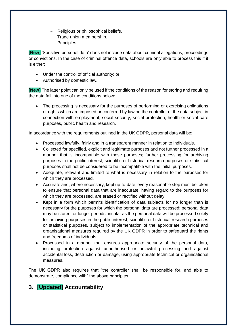- Religious or philosophical beliefs.
- Trade union membership.
- Principles.

**[New]** 'Sensitive personal data' does not include data about criminal allegations, proceedings or convictions. In the case of criminal offence data, schools are only able to process this if it is either:

- Under the control of official authority; or
- Authorised by domestic law.

**[New]** The latter point can only be used if the conditions of the reason for storing and requiring the data fall into one of the conditions below:

The processing is necessary for the purposes of performing or exercising obligations or rights which are imposed or conferred by law on the controller of the data subject in connection with employment, social security, social protection, health or social care purposes, public health and research.

In accordance with the requirements outlined in the UK GDPR, personal data will be:

- Processed lawfully, fairly and in a transparent manner in relation to individuals.
- Collected for specified, explicit and legitimate purposes and not further processed in a manner that is incompatible with those purposes; further processing for archiving purposes in the public interest, scientific or historical research purposes or statistical purposes shall not be considered to be incompatible with the initial purposes.
- Adequate, relevant and limited to what is necessary in relation to the purposes for which they are processed.
- Accurate and, where necessary, kept up-to-date; every reasonable step must be taken to ensure that personal data that are inaccurate, having regard to the purposes for which they are processed, are erased or rectified without delay.
- Kept in a form which permits identification of data subjects for no longer than is necessary for the purposes for which the personal data are processed; personal data may be stored for longer periods, insofar as the personal data will be processed solely for archiving purposes in the public interest, scientific or historical research purposes or statistical purposes, subject to implementation of the appropriate technical and organisational measures required by the UK GDPR in order to safeguard the rights and freedoms of individuals.
- Processed in a manner that ensures appropriate security of the personal data, including protection against unauthorised or unlawful processing and against accidental loss, destruction or damage, using appropriate technical or organisational measures.

The UK GDPR also requires that "the controller shall be responsible for, and able to demonstrate, compliance with" the above principles.

## <span id="page-4-0"></span>**3. [Updated] Accountability**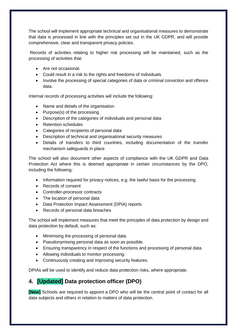The school will implement appropriate technical and organisational measures to demonstrate that data is processed in line with the principles set out in the UK GDPR, and will provide comprehensive, clear and transparent privacy policies.

Records of activities relating to higher risk processing will be maintained, such as the processing of activities that:

- Are not occasional.
- Could result in a risk to the rights and freedoms of individuals.
- Involve the processing of special categories of data or criminal conviction and offence data.

Internal records of processing activities will include the following:

- Name and details of the organisation
- Purpose(s) of the processing
- Description of the categories of individuals and personal data
- Retention schedules
- Categories of recipients of personal data
- Description of technical and organisational security measures
- Details of transfers to third countries, including documentation of the transfer mechanism safeguards in place

The school will also document other aspects of compliance with the UK GDPR and Data Protection Act where this is deemed appropriate in certain circumstances by the DPO, including the following:

- Information required for privacy notices, e.g. the lawful basis for the processing
- Records of consent
- Controller-processor contracts
- The location of personal data
- Data Protection Impact Assessment (DPIA) reports
- Records of personal data breaches

The school will implement measures that meet the principles of data protection by design and data protection by default, such as:

- Minimising the processing of personal data.
- Pseudonymising personal data as soon as possible.
- Ensuring transparency in respect of the functions and processing of personal data.
- Allowing individuals to monitor processing.
- Continuously creating and improving security features.

DPIAs will be used to identify and reduce data protection risks, where appropriate.

### <span id="page-5-0"></span>**4. [Updated] Data protection officer (DPO)**

**[New]** Schools are required to appoint a DPO who will be the central point of contact for all data subjects and others in relation to matters of data protection.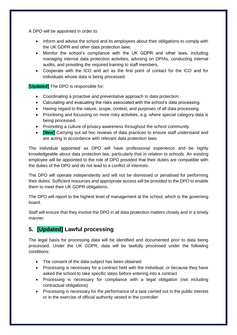A DPO will be appointed in order to:

- Inform and advise the school and its employees about their obligations to comply with the UK GDPR and other data protection laws.
- Monitor the school's compliance with the UK GDPR and other laws, including managing internal data protection activities, advising on DPIAs, conducting internal audits, and providing the required training to staff members.
- Cooperate with the ICO and act as the first point of contact for the ICO and for individuals whose data is being processed.

**[Updated]** The DPO is responsible for:

- Coordinating a proactive and preventative approach to data protection.
- Calculating and evaluating the risks associated with the school's data processing.
- Having regard to the nature, scope, context, and purposes of all data processing.
- Prioritising and focussing on more risky activities, e.g. where special category data is being processed.
- Promoting a culture of privacy awareness throughout the school community.
- **[New]** Carrying out ad hoc reviews of data practices to ensure staff understand and are acting in accordance with relevant data protection laws.

The individual appointed as DPO will have professional experience and be highly knowledgeable about data protection law, particularly that in relation to schools. An existing employee will be appointed to the role of DPO provided that their duties are compatible with the duties of the DPO and do not lead to a conflict of interests.

The DPO will operate independently and will not be dismissed or penalised for performing their duties. Sufficient resources and appropriate access will be provided to the DPO to enable them to meet their UK GDPR obligations.

The DPO will report to the highest level of management at the school, which is the governing board.

Staff will ensure that they involve the DPO in all data protection matters closely and in a timely manner.

## <span id="page-6-0"></span>**5. [Updated] Lawful processing**

The legal basis for processing data will be identified and documented prior to data being processed. Under the UK GDPR, data will be lawfully processed under the following conditions:

- The consent of the data subject has been obtained
- Processing is necessary for a contract held with the individual, or because they have asked the school to take specific steps before entering into a contract
- Processing is necessary for compliance with a legal obligation (not including contractual obligations)
- Processing is necessary for the performance of a task carried out in the public interest or in the exercise of official authority vested in the controller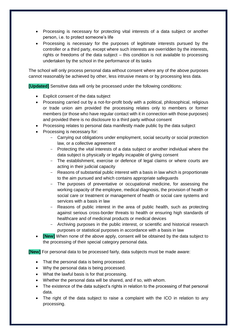- Processing is necessary for protecting vital interests of a data subject or another person, i.e. to protect someone's life
- Processing is necessary for the purposes of legitimate interests pursued by the controller or a third party, except where such interests are overridden by the interests, rights or freedoms of the data subject – this condition is not available to processing undertaken by the school in the performance of its tasks

The school will only process personal data without consent where any of the above purposes cannot reasonably be achieved by other, less intrusive means or by processing less data.

**[Updated]** Sensitive data will only be processed under the following conditions:

- Explicit consent of the data subject
- Processing carried out by a not-for-profit body with a political, philosophical, religious or trade union aim provided the processing relates only to members or former members (or those who have regular contact with it in connection with those purposes) and provided there is no disclosure to a third party without consent
- Processing relates to personal data manifestly made public by the data subject
- Processing is necessary for:
	- Carrying out obligations under employment, social security or social protection law, or a collective agreement
	- Protecting the vital interests of a data subject or another individual where the data subject is physically or legally incapable of giving consent
	- The establishment, exercise or defence of legal claims or where courts are acting in their judicial capacity
	- Reasons of substantial public interest with a basis in law which is proportionate to the aim pursued and which contains appropriate safeguards
	- The purposes of preventative or occupational medicine, for assessing the working capacity of the employee, medical diagnosis, the provision of health or social care or treatment or management of health or social care systems and services with a basis in law
	- Reasons of public interest in the area of public health, such as protecting against serious cross-border threats to health or ensuring high standards of healthcare and of medicinal products or medical devices
	- Archiving purposes in the public interest, or scientific and historical research purposes or statistical purposes in accordance with a basis in law
- **[New]** When none of the above apply, consent will be obtained by the data subject to the processing of their special category personal data.

**[New]** For personal data to be processed fairly, data subjects must be made aware:

- That the personal data is being processed.
- Why the personal data is being processed.
- What the lawful basis is for that processing.
- Whether the personal data will be shared, and if so, with whom.
- The existence of the data subject's rights in relation to the processing of that personal data.
- The right of the data subject to raise a complaint with the ICO in relation to any processing.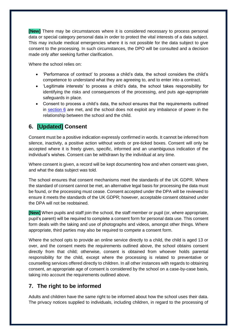**[New]** There may be circumstances where it is considered necessary to process personal data or special category personal data in order to protect the vital interests of a data subject. This may include medical emergencies where it is not possible for the data subject to give consent to the processing. In such circumstances, the DPO will be consulted and a decision made only after seeking further clarification.

Where the school relies on:

- 'Performance of contract' to process a child's data, the school considers the child's competence to understand what they are agreeing to, and to enter into a contract.
- 'Legitimate interests' to process a child's data, the school takes responsibility for identifying the risks and consequences of the processing, and puts age-appropriate safeguards in place.
- Consent to process a child's data, the school ensures that the requirements outlined in [section 6](#page-8-0) are met, and the school does not exploit any imbalance of power in the relationship between the school and the child.

## <span id="page-8-0"></span>**6. [Updated] Consent**

Consent must be a positive indication expressly confirmed in words. It cannot be inferred from silence, inactivity, a positive action without words or pre-ticked boxes. Consent will only be accepted where it is freely given, specific, informed and an unambiguous indication of the individual's wishes. Consent can be withdrawn by the individual at any time.

Where consent is given, a record will be kept documenting how and when consent was given, and what the data subject was told.

The school ensures that consent mechanisms meet the standards of the UK GDPR. Where the standard of consent cannot be met, an alternative legal basis for processing the data must be found, or the processing must cease. Consent accepted under the DPA will be reviewed to ensure it meets the standards of the UK GDPR; however, acceptable consent obtained under the DPA will not be reobtained.

**[New]** When pupils and staff join the school, the staff member or pupil (or, where appropriate, pupil's parent) will be required to complete a consent form for personal data use. This consent form deals with the taking and use of photographs and videos, amongst other things. Where appropriate, third parties may also be required to compete a consent form.

Where the school opts to provide an online service directly to a child, the child is aged 13 or over, and the consent meets the requirements outlined above, the school obtains consent directly from that child; otherwise, consent is obtained from whoever holds parental responsibility for the child, except where the processing is related to preventative or counselling services offered directly to children. In all other instances with regards to obtaining consent, an appropriate age of consent is considered by the school on a case-by-case basis, taking into account the requirements outlined above.

#### <span id="page-8-1"></span>**7. The right to be informed**

Adults and children have the same right to be informed about how the school uses their data. The privacy notices supplied to individuals, including children, in regard to the processing of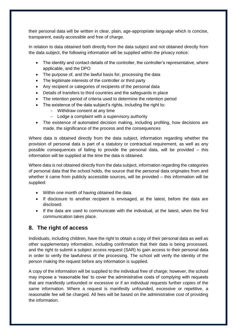their personal data will be written in clear, plain, age-appropriate language which is concise, transparent, easily accessible and free of charge.

In relation to data obtained both directly from the data subject and not obtained directly from the data subject, the following information will be supplied within the privacy notice:

- The identity and contact details of the controller, the controller's representative, where applicable, and the DPO
- The purpose of, and the lawful basis for, processing the data
- The legitimate interests of the controller or third party
- Any recipient or categories of recipients of the personal data
- Details of transfers to third countries and the safeguards in place
- The retention period of criteria used to determine the retention period
- The existence of the data subject's rights, including the right to:
	- Withdraw consent at any time
	- Lodge a complaint with a supervisory authority
- The existence of automated decision making, including profiling, how decisions are made, the significance of the process and the consequences

Where data is obtained directly from the data subject, information regarding whether the provision of personal data is part of a statutory or contractual requirement, as well as any possible consequences of failing to provide the personal data, will be provided – this information will be supplied at the time the data is obtained.

Where data is not obtained directly from the data subject, information regarding the categories of personal data that the school holds, the source that the personal data originates from and whether it came from publicly accessible sources, will be provided – this information will be supplied:

- Within one month of having obtained the data.
- If disclosure to another recipient is envisaged, at the latest, before the data are disclosed.
- If the data are used to communicate with the individual, at the latest, when the first communication takes place.

#### <span id="page-9-0"></span>**8. The right of access**

Individuals, including children, have the right to obtain a copy of their personal data as well as other supplementary information, including confirmation that their data is being processed, and the right to submit a subject access request (SAR) to gain access to their personal data in order to verify the lawfulness of the processing. The school will verify the identity of the person making the request before any information is supplied.

A copy of the information will be supplied to the individual free of charge; however, the school may impose a 'reasonable fee' to cover the administrative costs of complying with requests that are manifestly unfounded or excessive or if an individual requests further copies of the same information. Where a request is manifestly unfounded, excessive or repetitive, a reasonable fee will be charged. All fees will be based on the administrative cost of providing the information.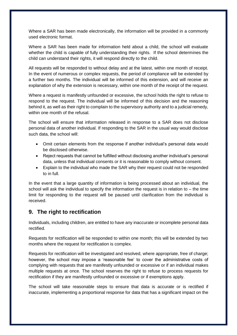Where a SAR has been made electronically, the information will be provided in a commonly used electronic format.

Where a SAR has been made for information held about a child, the school will evaluate whether the child is capable of fully understanding their rights. If the school determines the child can understand their rights, it will respond directly to the child.

All requests will be responded to without delay and at the latest, within one month of receipt. In the event of numerous or complex requests, the period of compliance will be extended by a further two months. The individual will be informed of this extension, and will receive an explanation of why the extension is necessary, within one month of the receipt of the request.

Where a request is manifestly unfounded or excessive, the school holds the right to refuse to respond to the request. The individual will be informed of this decision and the reasoning behind it, as well as their right to complain to the supervisory authority and to a judicial remedy, within one month of the refusal.

The school will ensure that information released in response to a SAR does not disclose personal data of another individual. If responding to the SAR in the usual way would disclose such data, the school will:

- Omit certain elements from the response if another individual's personal data would be disclosed otherwise.
- Reject requests that cannot be fulfilled without disclosing another individual's personal data, unless that individual consents or it is reasonable to comply without consent.
- Explain to the individual who made the SAR why their request could not be responded to in full.

In the event that a large quantity of information is being processed about an individual, the school will ask the individual to specify the information the request is in relation to – the time limit for responding to the request will be paused until clarification from the individual is received.

#### <span id="page-10-0"></span>**9. The right to rectification**

Individuals, including children, are entitled to have any inaccurate or incomplete personal data rectified.

Requests for rectification will be responded to within one month; this will be extended by two months where the request for rectification is complex.

Requests for rectification will be investigated and resolved, where appropriate, free of charge; however, the school may impose a 'reasonable fee' to cover the administrative costs of complying with requests that are manifestly unfounded or excessive or if an individual makes multiple requests at once. The school reserves the right to refuse to process requests for rectification if they are manifestly unfounded or excessive or if exemptions apply.

The school will take reasonable steps to ensure that data is accurate or is rectified if inaccurate, implementing a proportional response for data that has a significant impact on the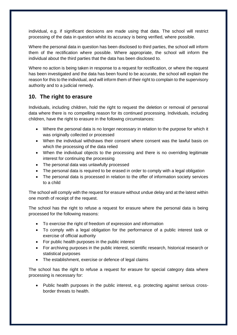individual, e.g. if significant decisions are made using that data. The school will restrict processing of the data in question whilst its accuracy is being verified, where possible.

Where the personal data in question has been disclosed to third parties, the school will inform them of the rectification where possible. Where appropriate, the school will inform the individual about the third parties that the data has been disclosed to.

Where no action is being taken in response to a request for rectification, or where the request has been investigated and the data has been found to be accurate, the school will explain the reason for this to the individual, and will inform them of their right to complain to the supervisory authority and to a judicial remedy.

#### <span id="page-11-0"></span>**10. The right to erasure**

Individuals, including children, hold the right to request the deletion or removal of personal data where there is no compelling reason for its continued processing. Individuals, including children, have the right to erasure in the following circumstances:

- Where the personal data is no longer necessary in relation to the purpose for which it was originally collected or processed
- When the individual withdraws their consent where consent was the lawful basis on which the processing of the data relied
- When the individual objects to the processing and there is no overriding legitimate interest for continuing the processing
- The personal data was unlawfully processed
- The personal data is required to be erased in order to comply with a legal obligation
- The personal data is processed in relation to the offer of information society services to a child

The school will comply with the request for erasure without undue delay and at the latest within one month of receipt of the request.

The school has the right to refuse a request for erasure where the personal data is being processed for the following reasons:

- To exercise the right of freedom of expression and information
- To comply with a legal obligation for the performance of a public interest task or exercise of official authority
- For public health purposes in the public interest
- For archiving purposes in the public interest, scientific research, historical research or statistical purposes
- The establishment, exercise or defence of legal claims

The school has the right to refuse a request for erasure for special category data where processing is necessary for:

• Public health purposes in the public interest, e.g. protecting against serious crossborder threats to health.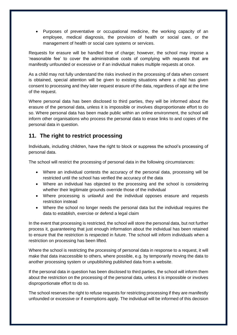• Purposes of preventative or occupational medicine, the working capacity of an employee, medical diagnosis, the provision of health or social care, or the management of health or social care systems or services.

Requests for erasure will be handled free of charge; however, the school may impose a 'reasonable fee' to cover the administrative costs of complying with requests that are manifestly unfounded or excessive or if an individual makes multiple requests at once.

As a child may not fully understand the risks involved in the processing of data when consent is obtained, special attention will be given to existing situations where a child has given consent to processing and they later request erasure of the data, regardless of age at the time of the request.

Where personal data has been disclosed to third parties, they will be informed about the erasure of the personal data, unless it is impossible or involves disproportionate effort to do so. Where personal data has been made public within an online environment, the school will inform other organisations who process the personal data to erase links to and copies of the personal data in question.

#### <span id="page-12-0"></span>**11. The right to restrict processing**

Individuals, including children, have the right to block or suppress the school's processing of personal data.

The school will restrict the processing of personal data in the following circumstances:

- Where an individual contests the accuracy of the personal data, processing will be restricted until the school has verified the accuracy of the data
- Where an individual has objected to the processing and the school is considering whether their legitimate grounds override those of the individual
- Where processing is unlawful and the individual opposes erasure and requests restriction instead
- Where the school no longer needs the personal data but the individual requires the data to establish, exercise or defend a legal claim

In the event that processing is restricted, the school will store the personal data, but not further process it, guaranteeing that just enough information about the individual has been retained to ensure that the restriction is respected in future. The school will inform individuals when a restriction on processing has been lifted.

Where the school is restricting the processing of personal data in response to a request, it will make that data inaccessible to others, where possible, e.g. by temporarily moving the data to another processing system or unpublishing published data from a website.

If the personal data in question has been disclosed to third parties, the school will inform them about the restriction on the processing of the personal data, unless it is impossible or involves disproportionate effort to do so.

The school reserves the right to refuse requests for restricting processing if they are manifestly unfounded or excessive or if exemptions apply. The individual will be informed of this decision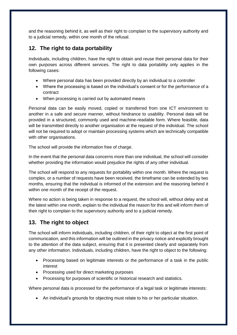and the reasoning behind it, as well as their right to complain to the supervisory authority and to a judicial remedy, within one month of the refusal.

### <span id="page-13-0"></span>**12. The right to data portability**

Individuals, including children, have the right to obtain and reuse their personal data for their own purposes across different services. The right to data portability only applies in the following cases:

- Where personal data has been provided directly by an individual to a controller
- Where the processing is based on the individual's consent or for the performance of a contract
- When processing is carried out by automated means

Personal data can be easily moved, copied or transferred from one ICT environment to another in a safe and secure manner, without hindrance to usability. Personal data will be provided in a structured, commonly used and machine-readable form. Where feasible, data will be transmitted directly to another organisation at the request of the individual. The school will not be required to adopt or maintain processing systems which are technically compatible with other organisations.

The school will provide the information free of charge.

In the event that the personal data concerns more than one individual, the school will consider whether providing the information would prejudice the rights of any other individual.

The school will respond to any requests for portability within one month. Where the request is complex, or a number of requests have been received, the timeframe can be extended by two months, ensuring that the individual is informed of the extension and the reasoning behind it within one month of the receipt of the request.

Where no action is being taken in response to a request, the school will, without delay and at the latest within one month, explain to the individual the reason for this and will inform them of their right to complain to the supervisory authority and to a judicial remedy.

## <span id="page-13-1"></span>**13. The right to object**

The school will inform individuals, including children, of their right to object at the first point of communication, and this information will be outlined in the privacy notice and explicitly brought to the attention of the data subject, ensuring that it is presented clearly and separately from any other information. Individuals, including children, have the right to object to the following:

- Processing based on legitimate interests or the performance of a task in the public interest
- Processing used for direct marketing purposes
- Processing for purposes of scientific or historical research and statistics.

Where personal data is processed for the performance of a legal task or legitimate interests:

• An individual's grounds for objecting must relate to his or her particular situation.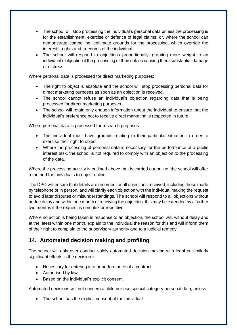- The school will stop processing the individual's personal data unless the processing is for the establishment, exercise or defence of legal claims, or, where the school can demonstrate compelling legitimate grounds for the processing, which override the interests, rights and freedoms of the individual.
- The school will respond to objections proportionally, granting more weight to an individual's objection if the processing of their data is causing them substantial damage or distress.

Where personal data is processed for direct marketing purposes:

- The right to object is absolute and the school will stop processing personal data for direct marketing purposes as soon as an objection is received.
- The school cannot refuse an individual's objection regarding data that is being processed for direct marketing purposes.
- The school will retain only enough information about the individual to ensure that the individual's preference not to receive direct marketing is respected in future.

Where personal data is processed for research purposes:

- The individual must have grounds relating to their particular situation in order to exercise their right to object.
- Where the processing of personal data is necessary for the performance of a public interest task, the school is not required to comply with an objection to the processing of the data.

Where the processing activity is outlined above, but is carried out online, the school will offer a method for individuals to object online.

The DPO will ensure that details are recorded for all objections received, including those made by telephone or in person, and will clarify each objection with the individual making the request to avoid later disputes or misunderstandings. The school will respond to all objections without undue delay and within one month of receiving the objection; this may be extended by a further two months if the request is complex or repetitive.

Where no action is being taken in response to an objection, the school will, without delay and at the latest within one month, explain to the individual the reason for this and will inform them of their right to complain to the supervisory authority and to a judicial remedy.

#### <span id="page-14-0"></span>**14. Automated decision making and profiling**

The school will only ever conduct solely automated decision making with legal or similarly significant effects is the decision is:

- Necessary for entering into or performance of a contract.
- Authorised by law.
- Based on the individual's explicit consent.

Automated decisions will not concern a child nor use special category personal data, unless:

• The school has the explicit consent of the individual.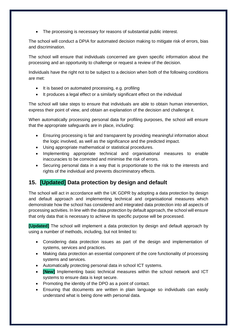• The processing is necessary for reasons of substantial public interest.

The school will conduct a DPIA for automated decision making to mitigate risk of errors, bias and discrimination.

The school will ensure that individuals concerned are given specific information about the processing and an opportunity to challenge or request a review of the decision.

Individuals have the right not to be subject to a decision when both of the following conditions are met:

- It is based on automated processing, e.g. profiling
- It produces a legal effect or a similarly significant effect on the individual

The school will take steps to ensure that individuals are able to obtain human intervention, express their point of view, and obtain an explanation of the decision and challenge it.

When automatically processing personal data for profiling purposes, the school will ensure that the appropriate safeguards are in place, including:

- Ensuring processing is fair and transparent by providing meaningful information about the logic involved, as well as the significance and the predicted impact.
- Using appropriate mathematical or statistical procedures.
- Implementing appropriate technical and organisational measures to enable inaccuracies to be corrected and minimise the risk of errors.
- Securing personal data in a way that is proportionate to the risk to the interests and rights of the individual and prevents discriminatory effects.

## <span id="page-15-0"></span>**15. [Updated] Data protection by design and default**

The school will act in accordance with the UK GDPR by adopting a data protection by design and default approach and implementing technical and organisational measures which demonstrate how the school has considered and integrated data protection into all aspects of processing activities. In line with the data protection by default approach, the school will ensure that only data that is necessary to achieve its specific purpose will be processed.

**[Updated]** The school will implement a data protection by design and default approach by using a number of methods, including, but not limited to:

- Considering data protection issues as part of the design and implementation of systems, services and practices.
- Making data protection an essential component of the core functionality of processing systems and services.
- Automatically protecting personal data in school ICT systems.
- **[New]** Implementing basic technical measures within the school network and ICT systems to ensure data is kept secure.
- Promoting the identity of the DPO as a point of contact.
- Ensuring that documents are written in plain language so individuals can easily understand what is being done with personal data.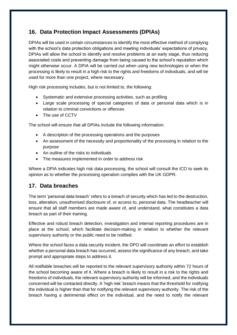### <span id="page-16-0"></span>**16. Data Protection Impact Assessments (DPIAs)**

DPIAs will be used in certain circumstances to identify the most effective method of complying with the school's data protection obligations and meeting individuals' expectations of privacy. DPIAs will allow the school to identify and resolve problems at an early stage, thus reducing associated costs and preventing damage from being caused to the school's reputation which might otherwise occur. A DPIA will be carried out when using new technologies or when the processing is likely to result in a high risk to the rights and freedoms of individuals, and will be used for more than one project, where necessary.

High risk processing includes, but is not limited to, the following:

- Systematic and extensive processing activities, such as profiling
- Large scale processing of special categories of data or personal data which is in relation to criminal convictions or offences
- The use of CCTV

The school will ensure that all DPIAs include the following information:

- A description of the processing operations and the purposes
- An assessment of the necessity and proportionality of the processing in relation to the purpose
- An outline of the risks to individuals
- The measures implemented in order to address risk

Where a DPIA indicates high risk data processing, the school will consult the ICO to seek its opinion as to whether the processing operation complies with the UK GDPR.

#### <span id="page-16-1"></span>**17. Data breaches**

The term 'personal data breach' refers to a breach of security which has led to the destruction, loss, alteration, unauthorised disclosure of, or access to, personal data. The headteacher will ensure that all staff members are made aware of, and understand, what constitutes a data breach as part of their training.

Effective and robust breach detection, investigation and internal reporting procedures are in place at the school, which facilitate decision-making in relation to whether the relevant supervisory authority or the public need to be notified.

Where the school faces a data security incident, the DPO will coordinate an effort to establish whether a personal data breach has occurred, assess the significance of any breach, and take prompt and appropriate steps to address it.

All notifiable breaches will be reported to the relevant supervisory authority within 72 hours of the school becoming aware of it. Where a breach is likely to result in a risk to the rights and freedoms of individuals, the relevant supervisory authority will be informed, and the individuals concerned will be contacted directly. A 'high risk' breach means that the threshold for notifying the individual is higher than that for notifying the relevant supervisory authority. The risk of the breach having a detrimental effect on the individual, and the need to notify the relevant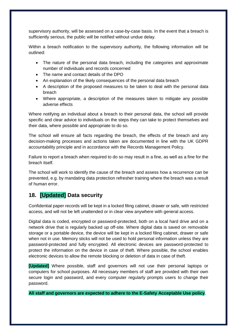supervisory authority, will be assessed on a case-by-case basis. In the event that a breach is sufficiently serious, the public will be notified without undue delay.

Within a breach notification to the supervisory authority, the following information will be outlined:

- The nature of the personal data breach, including the categories and approximate number of individuals and records concerned
- The name and contact details of the DPO
- An explanation of the likely consequences of the personal data breach
- A description of the proposed measures to be taken to deal with the personal data breach
- Where appropriate, a description of the measures taken to mitigate any possible adverse effects

Where notifying an individual about a breach to their personal data, the school will provide specific and clear advice to individuals on the steps they can take to protect themselves and their data, where possible and appropriate to do so.

The school will ensure all facts regarding the breach, the effects of the breach and any decision-making processes and actions taken are documented in line with the UK GDPR accountability principle and in accordance with the Records Management Policy.

Failure to report a breach when required to do so may result in a fine, as well as a fine for the breach itself.

The school will work to identify the cause of the breach and assess how a recurrence can be prevented, e.g. by mandating data protection refresher training where the breach was a result of human error.

#### <span id="page-17-0"></span>**18. [Updated] Data security**

Confidential paper records will be kept in a locked filing cabinet, drawer or safe, with restricted access, and will not be left unattended or in clear view anywhere with general access.

Digital data is coded, encrypted or password-protected, both on a local hard drive and on a network drive that is regularly backed up off-site. Where digital data is saved on removable storage or a portable device, the device will be kept in a locked filing cabinet, drawer or safe when not in use. Memory sticks will not be used to hold personal information unless they are password-protected and fully encrypted. All electronic devices are password-protected to protect the information on the device in case of theft. Where possible, the school enables electronic devices to allow the remote blocking or deletion of data in case of theft.

**[Updated]** Where possible, staff and governors will not use their personal laptops or computers for school purposes. All necessary members of staff are provided with their own secure login and password, and every computer regularly prompts users to change their password.

**All staff and governors are expected to adhere to the E-Safety Acceptable Use policy**.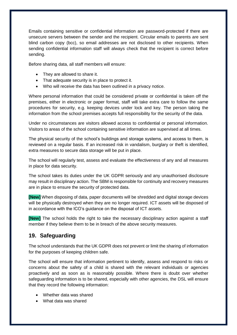Emails containing sensitive or confidential information are password-protected if there are unsecure servers between the sender and the recipient. Circular emails to parents are sent blind carbon copy (bcc), so email addresses are not disclosed to other recipients. When sending confidential information staff will always check that the recipient is correct before sending.

Before sharing data, all staff members will ensure:

- They are allowed to share it.
- That adequate security is in place to protect it.
- Who will receive the data has been outlined in a privacy notice.

Where personal information that could be considered private or confidential is taken off the premises, either in electronic or paper format, staff will take extra care to follow the same procedures for security, e.g. keeping devices under lock and key. The person taking the information from the school premises accepts full responsibility for the security of the data.

Under no circumstances are visitors allowed access to confidential or personal information. Visitors to areas of the school containing sensitive information are supervised at all times.

The physical security of the school's buildings and storage systems, and access to them, is reviewed on a regular basis. If an increased risk in vandalism, burglary or theft is identified, extra measures to secure data storage will be put in place.

The school will regularly test, assess and evaluate the effectiveness of any and all measures in place for data security.

The school takes its duties under the UK GDPR seriously and any unauthorised disclosure may result in disciplinary action. The SBM is responsible for continuity and recovery measures are in place to ensure the security of protected data.

**[New]** When disposing of data, paper documents will be shredded and digital storage devices will be physically destroyed when they are no longer required. ICT assets will be disposed of in accordance with the ICO's guidance on the disposal of ICT assets.

**[New]** The school holds the right to take the necessary disciplinary action against a staff member if they believe them to be in breach of the above security measures.

#### <span id="page-18-0"></span>**19. Safeguarding**

The school understands that the UK GDPR does not prevent or limit the sharing of information for the purposes of keeping children safe.

The school will ensure that information pertinent to identify, assess and respond to risks or concerns about the safety of a child is shared with the relevant individuals or agencies proactively and as soon as is reasonably possible. Where there is doubt over whether safeguarding information is to be shared, especially with other agencies, the DSL will ensure that they record the following information:

- Whether data was shared
- What data was shared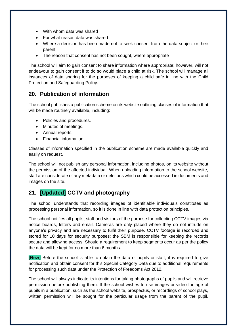- With whom data was shared
- For what reason data was shared
- Where a decision has been made not to seek consent from the data subject or their parent
- The reason that consent has not been sought, where appropriate

The school will aim to gain consent to share information where appropriate; however, will not endeavour to gain consent if to do so would place a child at risk. The school will manage all instances of data sharing for the purposes of keeping a child safe in line with the Child Protection and Safeguarding Policy.

#### <span id="page-19-0"></span>**20. Publication of information**

The school publishes a publication scheme on its website outlining classes of information that will be made routinely available, including:

- Policies and procedures.
- Minutes of meetings.
- Annual reports.
- Financial information.

Classes of information specified in the publication scheme are made available quickly and easily on request.

The school will not publish any personal information, including photos, on its website without the permission of the affected individual. When uploading information to the school website, staff are considerate of any metadata or deletions which could be accessed in documents and images on the site.

## <span id="page-19-1"></span>**21. [Updated] CCTV and photography**

The school understands that recording images of identifiable individuals constitutes as processing personal information, so it is done in line with data protection principles.

The school notifies all pupils, staff and visitors of the purpose for collecting CCTV images via notice boards, letters and email. Cameras are only placed where they do not intrude on anyone's privacy and are necessary to fulfil their purpose. CCTV footage is recorded and stored for 10 days for security purposes; the SBM is responsible for keeping the records secure and allowing access. Should a requirement to keep segments occur as per the policy the data will be kept for no more than 6 months.

**[New]** Before the school is able to obtain the data of pupils or staff, it is required to give notification and obtain consent for this Special Category Data due to additional requirements for processing such data under the Protection of Freedoms Act 2012.

The school will always indicate its intentions for taking photographs of pupils and will retrieve permission before publishing them. If the school wishes to use images or video footage of pupils in a publication, such as the school website, prospectus, or recordings of school plays, written permission will be sought for the particular usage from the parent of the pupil.